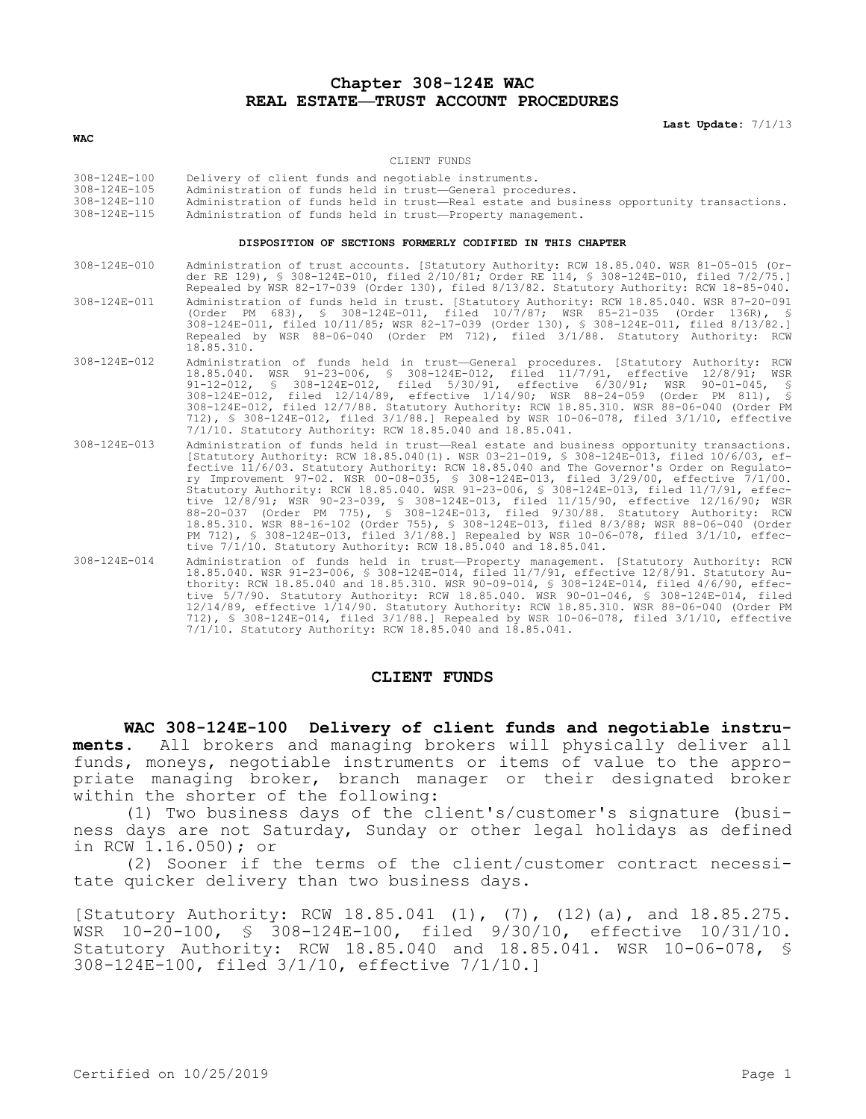# **Chapter 308-124E WAC REAL ESTATE—TRUST ACCOUNT PROCEDURES**

**Last Update:** 7/1/13

#### **WAC**

#### CLIENT FUNDS

| 308-124E-100 | Delivery of client funds and negotiable instruments.                                     |
|--------------|------------------------------------------------------------------------------------------|
| 308-124E-105 | Administration of funds held in trust-General procedures.                                |
| 308-124E-110 | Administration of funds held in trust-Real estate and business opportunity transactions. |
| 308-124E-115 | Administration of funds held in trust-Property management.                               |

### **DISPOSITION OF SECTIONS FORMERLY CODIFIED IN THIS CHAPTER**

| 308-124E-010       | Administration of trust accounts. [Statutory Authority: RCW 18.85.040. WSR 81-05-015 (Or-<br>der RE 129), § 308-124E-010, filed 2/10/81; Order RE 114, § 308-124E-010, filed 7/2/75.]<br>Repealed by WSR 82-17-039 (Order 130), filed 8/13/82. Statutory Authority: RCW 18-85-040.                                                                                                                                                                                                                                                                                                                                                                                                                                                                                                                                                                                                                            |
|--------------------|---------------------------------------------------------------------------------------------------------------------------------------------------------------------------------------------------------------------------------------------------------------------------------------------------------------------------------------------------------------------------------------------------------------------------------------------------------------------------------------------------------------------------------------------------------------------------------------------------------------------------------------------------------------------------------------------------------------------------------------------------------------------------------------------------------------------------------------------------------------------------------------------------------------|
| $308 - 124E - 011$ | Administration of funds held in trust. [Statutory Authority: RCW 18.85.040. WSR 87-20-091<br>(Order PM 683), § 308-124E-011, filed 10/7/87; WSR 85-21-035 (Order 136R), §<br>308-124E-011, filed 10/11/85; WSR 82-17-039 (Order 130), § 308-124E-011, filed 8/13/82.]<br>Repealed by WSR 88-06-040 (Order PM 712), filed 3/1/88. Statutory Authority: RCW<br>18.85.310.                                                                                                                                                                                                                                                                                                                                                                                                                                                                                                                                       |
| $308 - 124E - 012$ | Administration of funds held in trust-General procedures. [Statutory Authority: RCW<br>18.85.040. WSR 91-23-006, § 308-124E-012, filed 11/7/91, effective 12/8/91; WSR<br>91-12-012, § 308-124E-012, filed 5/30/91, effective 6/30/91; WSR 90-01-045, §<br>308-124E-012, filed 12/14/89, effective 1/14/90; WSR 88-24-059 (Order PM 811), §<br>308-124E-012, filed 12/7/88. Statutory Authority: RCW 18.85.310. WSR 88-06-040 (Order PM<br>712), § 308-124E-012, filed $3/1/88$ . Repealed by WSR 10-06-078, filed $3/1/10$ , effective<br>7/1/10. Statutory Authority: RCW 18.85.040 and 18.85.041.                                                                                                                                                                                                                                                                                                          |
| $308 - 124E - 013$ | Administration of funds held in trust-Real estate and business opportunity transactions.<br>[Statutory Authority: RCW 18.85.040(1). WSR 03-21-019, § 308-124E-013, filed 10/6/03, ef-<br>fective 11/6/03. Statutory Authority: RCW 18.85.040 and The Governor's Order on Regulato-<br>ry Improvement 97-02. WSR 00-08-035, § 308-124E-013, filed 3/29/00, effective 7/1/00.<br>Statutory Authority: RCW 18.85.040. WSR 91-23-006, § 308-124E-013, filed 11/7/91, effec-<br>tive 12/8/91; WSR 90-23-039, § 308-124E-013, filed 11/15/90, effective 12/16/90; WSR<br>88-20-037 (Order PM 775), § 308-124E-013, filed 9/30/88. Statutory Authority: RCW<br>18.85.310. WSR 88-16-102 (Order 755), § 308-124E-013, filed 8/3/88; WSR 88-06-040 (Order<br>PM 712), § 308-124E-013, filed 3/1/88.] Repealed by WSR 10-06-078, filed 3/1/10, effec-<br>tive 7/1/10. Statutory Authority: RCW 18.85.040 and 18.85.041. |
| $308 - 124E - 014$ | Administration of funds held in trust-Property management. [Statutory Authority: RCW<br>18.85.040. WSR 91-23-006, § 308-124E-014, filed 11/7/91, effective 12/8/91. Statutory Au-<br>thority: RCW 18.85.040 and 18.85.310. WSR 90-09-014, \$ 308-124E-014, filed 4/6/90, effec-<br>tive 5/7/90. Statutory Authority: RCW 18.85.040. WSR 90-01-046, § 308-124E-014, filed<br>12/14/89, effective 1/14/90. Statutory Authority: RCW 18.85.310. WSR 88-06-040 (Order PM                                                                                                                                                                                                                                                                                                                                                                                                                                          |

## **CLIENT FUNDS**

7/1/10. Statutory Authority: RCW 18.85.040 and 18.85.041.

**WAC 308-124E-100 Delivery of client funds and negotiable instru-**

712), § 308-124E-014, filed 3/1/88.] Repealed by WSR 10-06-078, filed 3/1/10, effective

**ments.** All brokers and managing brokers will physically deliver all funds, moneys, negotiable instruments or items of value to the appropriate managing broker, branch manager or their designated broker within the shorter of the following:

(1) Two business days of the client's/customer's signature (business days are not Saturday, Sunday or other legal holidays as defined in RCW 1.16.050); or

(2) Sooner if the terms of the client/customer contract necessitate quicker delivery than two business days.

[Statutory Authority: RCW 18.85.041 (1), (7), (12)(a), and 18.85.275. WSR 10-20-100, § 308-124E-100, filed 9/30/10, effective 10/31/10. Statutory Authority: RCW 18.85.040 and 18.85.041. WSR 10-06-078, § 308-124E-100, filed 3/1/10, effective 7/1/10.]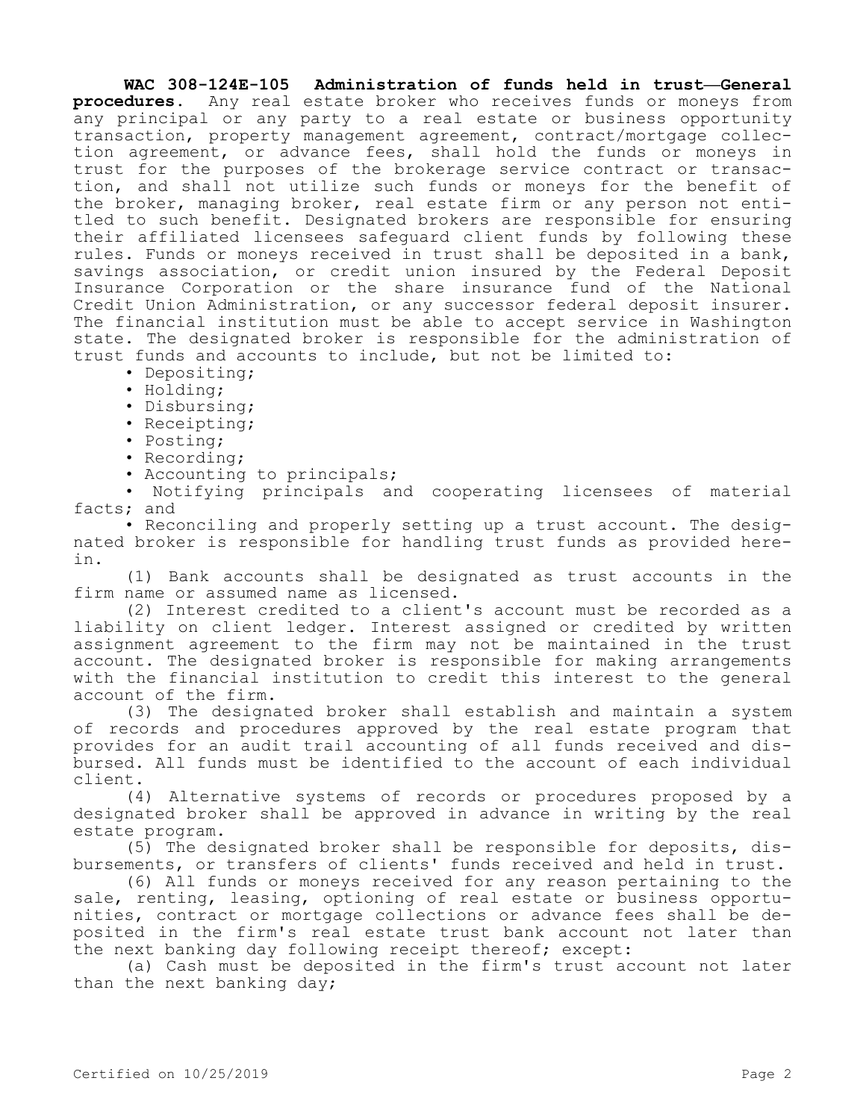**WAC 308-124E-105 Administration of funds held in trust—General procedures.** Any real estate broker who receives funds or moneys from any principal or any party to a real estate or business opportunity transaction, property management agreement, contract/mortgage collection agreement, or advance fees, shall hold the funds or moneys in trust for the purposes of the brokerage service contract or transaction, and shall not utilize such funds or moneys for the benefit of the broker, managing broker, real estate firm or any person not entitled to such benefit. Designated brokers are responsible for ensuring their affiliated licensees safeguard client funds by following these rules. Funds or moneys received in trust shall be deposited in a bank, savings association, or credit union insured by the Federal Deposit Insurance Corporation or the share insurance fund of the National Credit Union Administration, or any successor federal deposit insurer. The financial institution must be able to accept service in Washington state. The designated broker is responsible for the administration of trust funds and accounts to include, but not be limited to:

- Depositing;
- Holding;
- Disbursing;
- Receipting;
- Posting;
- Recording;
- Accounting to principals;

• Notifying principals and cooperating licensees of material facts; and

• Reconciling and properly setting up a trust account. The designated broker is responsible for handling trust funds as provided herein.

(1) Bank accounts shall be designated as trust accounts in the firm name or assumed name as licensed.

(2) Interest credited to a client's account must be recorded as a liability on client ledger. Interest assigned or credited by written assignment agreement to the firm may not be maintained in the trust account. The designated broker is responsible for making arrangements with the financial institution to credit this interest to the general account of the firm.

(3) The designated broker shall establish and maintain a system of records and procedures approved by the real estate program that provides for an audit trail accounting of all funds received and disbursed. All funds must be identified to the account of each individual client.

(4) Alternative systems of records or procedures proposed by a designated broker shall be approved in advance in writing by the real estate program.

(5) The designated broker shall be responsible for deposits, disbursements, or transfers of clients' funds received and held in trust.

(6) All funds or moneys received for any reason pertaining to the sale, renting, leasing, optioning of real estate or business opportunities, contract or mortgage collections or advance fees shall be deposited in the firm's real estate trust bank account not later than the next banking day following receipt thereof; except:

(a) Cash must be deposited in the firm's trust account not later than the next banking day;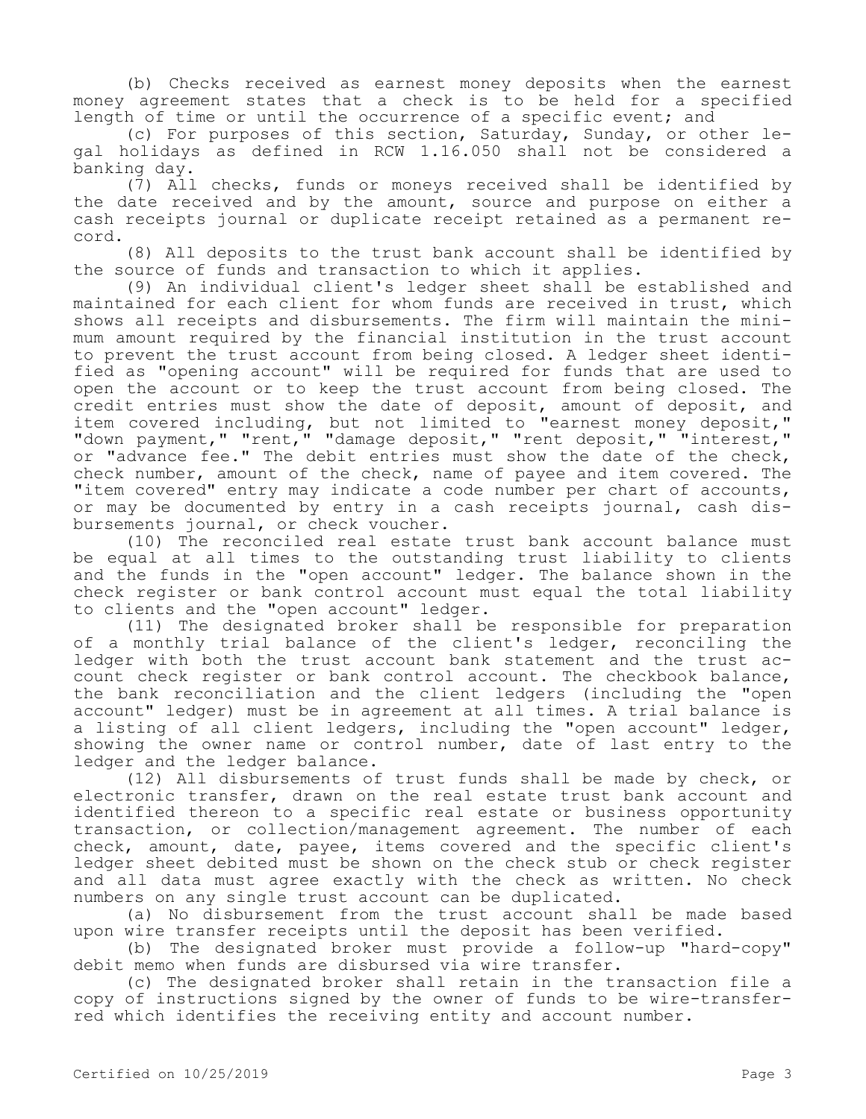(b) Checks received as earnest money deposits when the earnest money agreement states that a check is to be held for a specified length of time or until the occurrence of a specific event; and

(c) For purposes of this section, Saturday, Sunday, or other legal holidays as defined in RCW 1.16.050 shall not be considered a banking day.

(7) All checks, funds or moneys received shall be identified by the date received and by the amount, source and purpose on either a cash receipts journal or duplicate receipt retained as a permanent record.

(8) All deposits to the trust bank account shall be identified by the source of funds and transaction to which it applies.

(9) An individual client's ledger sheet shall be established and maintained for each client for whom funds are received in trust, which shows all receipts and disbursements. The firm will maintain the minimum amount required by the financial institution in the trust account to prevent the trust account from being closed. A ledger sheet identified as "opening account" will be required for funds that are used to open the account or to keep the trust account from being closed. The credit entries must show the date of deposit, amount of deposit, and item covered including, but not limited to "earnest money deposit," "down payment," "rent," "damage deposit," "rent deposit," "interest," or "advance fee." The debit entries must show the date of the check, check number, amount of the check, name of payee and item covered. The "item covered" entry may indicate a code number per chart of accounts, or may be documented by entry in a cash receipts journal, cash disbursements journal, or check voucher.

(10) The reconciled real estate trust bank account balance must be equal at all times to the outstanding trust liability to clients and the funds in the "open account" ledger. The balance shown in the check register or bank control account must equal the total liability to clients and the "open account" ledger.

(11) The designated broker shall be responsible for preparation of a monthly trial balance of the client's ledger, reconciling the ledger with both the trust account bank statement and the trust account check register or bank control account. The checkbook balance, the bank reconciliation and the client ledgers (including the "open account" ledger) must be in agreement at all times. A trial balance is a listing of all client ledgers, including the "open account" ledger, showing the owner name or control number, date of last entry to the ledger and the ledger balance.

(12) All disbursements of trust funds shall be made by check, or electronic transfer, drawn on the real estate trust bank account and identified thereon to a specific real estate or business opportunity transaction, or collection/management agreement. The number of each check, amount, date, payee, items covered and the specific client's ledger sheet debited must be shown on the check stub or check register and all data must agree exactly with the check as written. No check numbers on any single trust account can be duplicated.

(a) No disbursement from the trust account shall be made based upon wire transfer receipts until the deposit has been verified.

(b) The designated broker must provide a follow-up "hard-copy" debit memo when funds are disbursed via wire transfer.

(c) The designated broker shall retain in the transaction file a copy of instructions signed by the owner of funds to be wire-transferred which identifies the receiving entity and account number.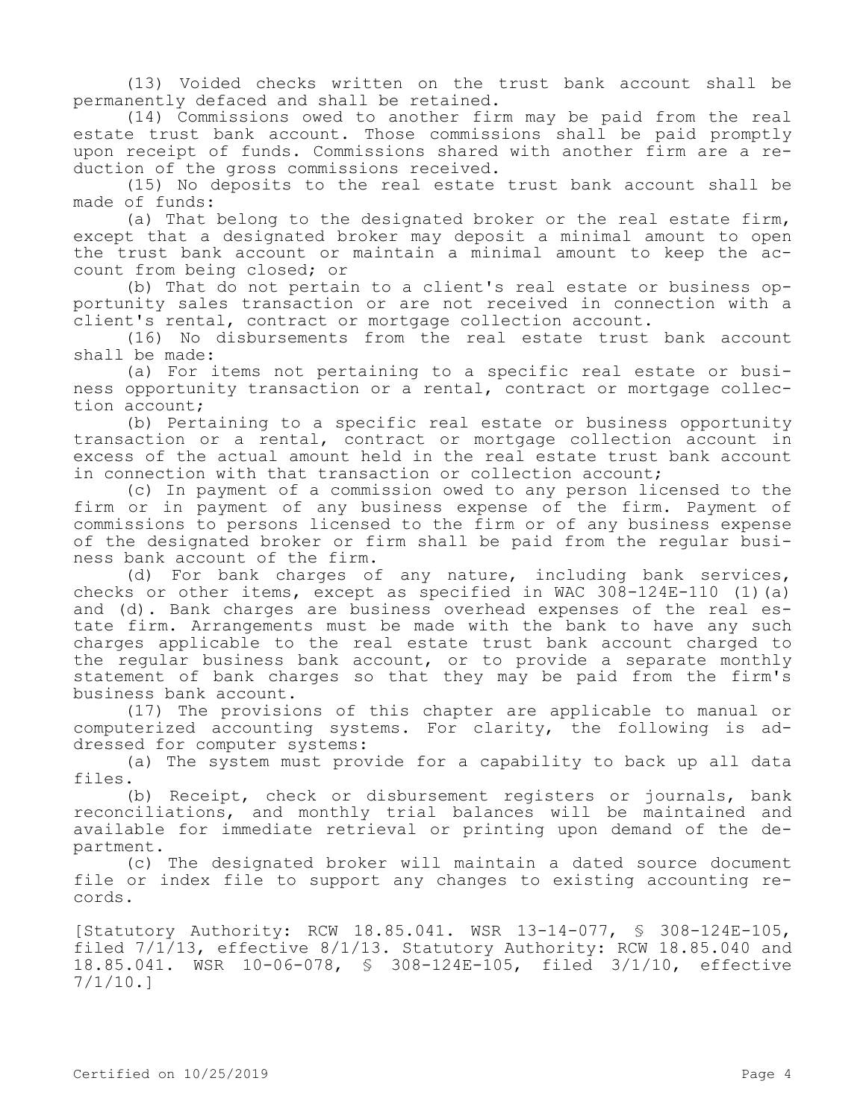(13) Voided checks written on the trust bank account shall be permanently defaced and shall be retained.

(14) Commissions owed to another firm may be paid from the real estate trust bank account. Those commissions shall be paid promptly upon receipt of funds. Commissions shared with another firm are a reduction of the gross commissions received.

(15) No deposits to the real estate trust bank account shall be made of funds:

(a) That belong to the designated broker or the real estate firm, except that a designated broker may deposit a minimal amount to open the trust bank account or maintain a minimal amount to keep the account from being closed; or

(b) That do not pertain to a client's real estate or business opportunity sales transaction or are not received in connection with a client's rental, contract or mortgage collection account.

(16) No disbursements from the real estate trust bank account shall be made:

(a) For items not pertaining to a specific real estate or business opportunity transaction or a rental, contract or mortgage collection account;

(b) Pertaining to a specific real estate or business opportunity transaction or a rental, contract or mortgage collection account in excess of the actual amount held in the real estate trust bank account in connection with that transaction or collection account;

(c) In payment of a commission owed to any person licensed to the firm or in payment of any business expense of the firm. Payment of commissions to persons licensed to the firm or of any business expense of the designated broker or firm shall be paid from the regular business bank account of the firm.

(d) For bank charges of any nature, including bank services, checks or other items, except as specified in WAC  $308-124E-110$  (1)(a) and (d). Bank charges are business overhead expenses of the real estate firm. Arrangements must be made with the bank to have any such charges applicable to the real estate trust bank account charged to the regular business bank account, or to provide a separate monthly statement of bank charges so that they may be paid from the firm's business bank account.

(17) The provisions of this chapter are applicable to manual or computerized accounting systems. For clarity, the following is addressed for computer systems:

(a) The system must provide for a capability to back up all data files.

(b) Receipt, check or disbursement registers or journals, bank reconciliations, and monthly trial balances will be maintained and available for immediate retrieval or printing upon demand of the department.

(c) The designated broker will maintain a dated source document file or index file to support any changes to existing accounting records.

[Statutory Authority: RCW 18.85.041. WSR 13-14-077, § 308-124E-105, filed 7/1/13, effective 8/1/13. Statutory Authority: RCW 18.85.040 and 18.85.041. WSR 10-06-078, § 308-124E-105, filed 3/1/10, effective 7/1/10.]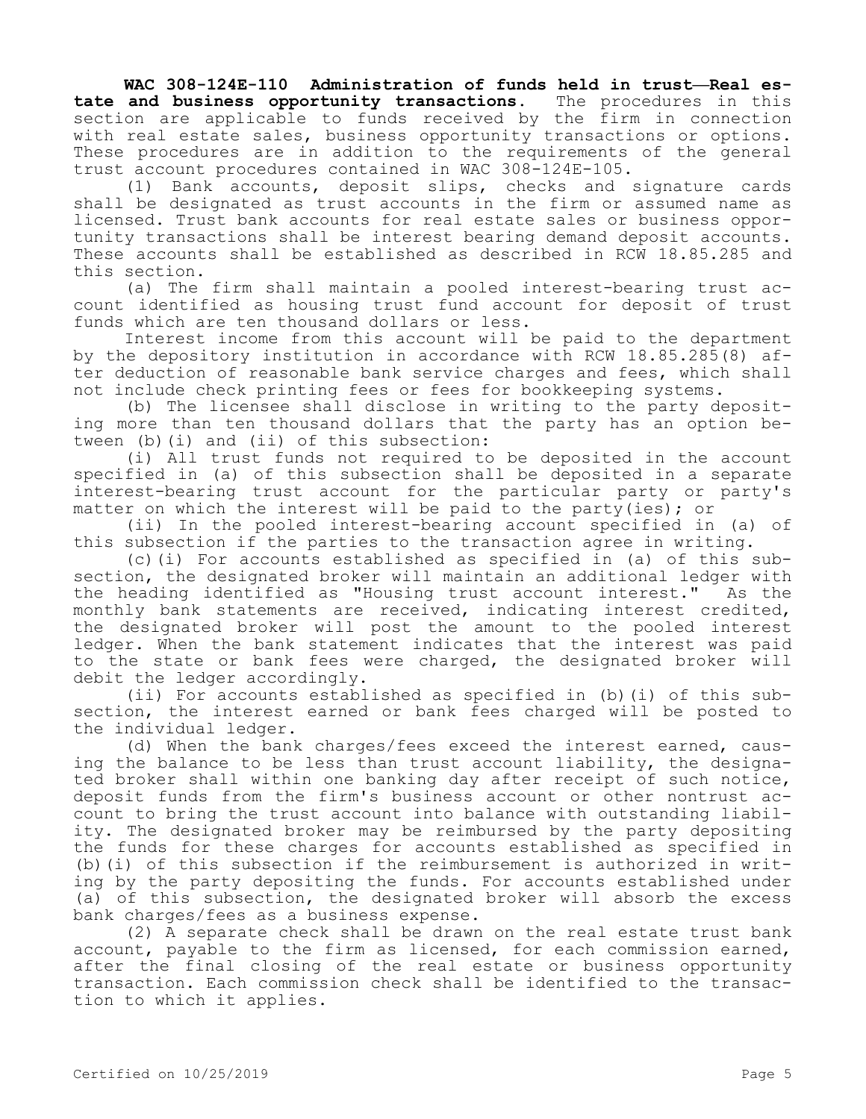**WAC 308-124E-110 Administration of funds held in trust—Real estate and business opportunity transactions.** The procedures in this section are applicable to funds received by the firm in connection with real estate sales, business opportunity transactions or options. These procedures are in addition to the requirements of the general trust account procedures contained in WAC 308-124E-105.

(1) Bank accounts, deposit slips, checks and signature cards shall be designated as trust accounts in the firm or assumed name as licensed. Trust bank accounts for real estate sales or business opportunity transactions shall be interest bearing demand deposit accounts. These accounts shall be established as described in RCW 18.85.285 and this section.

(a) The firm shall maintain a pooled interest-bearing trust account identified as housing trust fund account for deposit of trust funds which are ten thousand dollars or less.

Interest income from this account will be paid to the department by the depository institution in accordance with RCW 18.85.285(8) after deduction of reasonable bank service charges and fees, which shall not include check printing fees or fees for bookkeeping systems.

(b) The licensee shall disclose in writing to the party depositing more than ten thousand dollars that the party has an option between (b)(i) and (ii) of this subsection:

(i) All trust funds not required to be deposited in the account specified in (a) of this subsection shall be deposited in a separate interest-bearing trust account for the particular party or party's matter on which the interest will be paid to the party(ies); or

(ii) In the pooled interest-bearing account specified in (a) of this subsection if the parties to the transaction agree in writing.

(c)(i) For accounts established as specified in (a) of this subsection, the designated broker will maintain an additional ledger with the heading identified as "Housing trust account interest." As the monthly bank statements are received, indicating interest credited, the designated broker will post the amount to the pooled interest ledger. When the bank statement indicates that the interest was paid to the state or bank fees were charged, the designated broker will debit the ledger accordingly.

(ii) For accounts established as specified in (b)(i) of this subsection, the interest earned or bank fees charged will be posted to the individual ledger.

(d) When the bank charges/fees exceed the interest earned, causing the balance to be less than trust account liability, the designated broker shall within one banking day after receipt of such notice, deposit funds from the firm's business account or other nontrust account to bring the trust account into balance with outstanding liability. The designated broker may be reimbursed by the party depositing the funds for these charges for accounts established as specified in (b)(i) of this subsection if the reimbursement is authorized in writing by the party depositing the funds. For accounts established under (a) of this subsection, the designated broker will absorb the excess bank charges/fees as a business expense.

(2) A separate check shall be drawn on the real estate trust bank account, payable to the firm as licensed, for each commission earned, after the final closing of the real estate or business opportunity transaction. Each commission check shall be identified to the transaction to which it applies.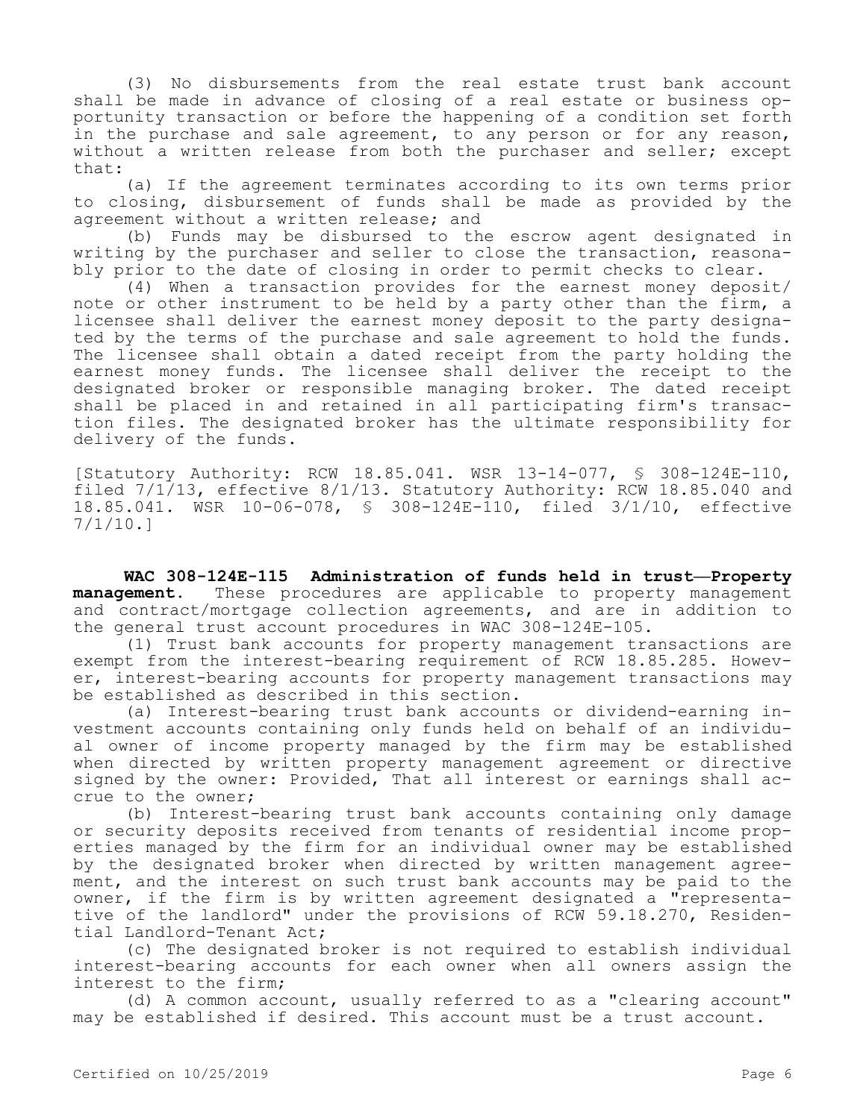(3) No disbursements from the real estate trust bank account shall be made in advance of closing of a real estate or business opportunity transaction or before the happening of a condition set forth in the purchase and sale agreement, to any person or for any reason, without a written release from both the purchaser and seller; except that:

(a) If the agreement terminates according to its own terms prior to closing, disbursement of funds shall be made as provided by the agreement without a written release; and

(b) Funds may be disbursed to the escrow agent designated in writing by the purchaser and seller to close the transaction, reasonably prior to the date of closing in order to permit checks to clear.

(4) When a transaction provides for the earnest money deposit/ note or other instrument to be held by a party other than the firm, a licensee shall deliver the earnest money deposit to the party designated by the terms of the purchase and sale agreement to hold the funds. The licensee shall obtain a dated receipt from the party holding the earnest money funds. The licensee shall deliver the receipt to the designated broker or responsible managing broker. The dated receipt shall be placed in and retained in all participating firm's transaction files. The designated broker has the ultimate responsibility for delivery of the funds.

[Statutory Authority: RCW 18.85.041. WSR 13-14-077, § 308-124E-110, filed  $7/1/13$ , effective  $8/1/13$ . Statutory Authority: RCW 18.85.040 and 18.85.041. WSR 10-06-078, § 308-124E-110, filed 3/1/10, effective 7/1/10.]

**WAC 308-124E-115 Administration of funds held in trust—Property management.** These procedures are applicable to property management and contract/mortgage collection agreements, and are in addition to the general trust account procedures in WAC 308-124E-105.

(1) Trust bank accounts for property management transactions are exempt from the interest-bearing requirement of RCW 18.85.285. However, interest-bearing accounts for property management transactions may be established as described in this section.

(a) Interest-bearing trust bank accounts or dividend-earning investment accounts containing only funds held on behalf of an individual owner of income property managed by the firm may be established when directed by written property management agreement or directive signed by the owner: Provided, That all interest or earnings shall accrue to the owner;

(b) Interest-bearing trust bank accounts containing only damage or security deposits received from tenants of residential income properties managed by the firm for an individual owner may be established by the designated broker when directed by written management agreement, and the interest on such trust bank accounts may be paid to the owner, if the firm is by written agreement designated a "representative of the landlord" under the provisions of RCW 59.18.270, Residential Landlord-Tenant Act;

(c) The designated broker is not required to establish individual interest-bearing accounts for each owner when all owners assign the interest to the firm;

(d) A common account, usually referred to as a "clearing account" may be established if desired. This account must be a trust account.